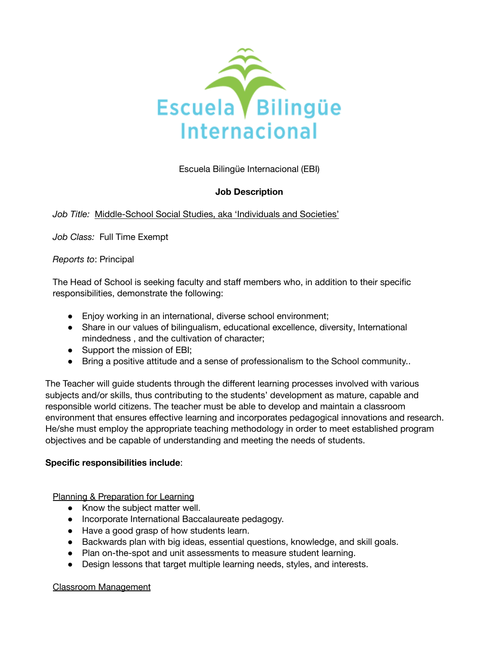

Escuela Bilingüe Internacional (EBI)

# **Job Description**

# *Job Title:* Middle-School Social Studies, aka 'Individuals and Societies'

*Job Class:* Full Time Exempt

*Reports to*: Principal

The Head of School is seeking faculty and staff members who, in addition to their specific responsibilities, demonstrate the following:

- Enjoy working in an international, diverse school environment;
- Share in our values of bilingualism, educational excellence, diversity, International mindedness , and the cultivation of character;
- Support the mission of EBI;
- Bring a positive attitude and a sense of professionalism to the School community..

The Teacher will guide students through the different learning processes involved with various subjects and/or skills, thus contributing to the students' development as mature, capable and responsible world citizens. The teacher must be able to develop and maintain a classroom environment that ensures effective learning and incorporates pedagogical innovations and research. He/she must employ the appropriate teaching methodology in order to meet established program objectives and be capable of understanding and meeting the needs of students.

### **Specific responsibilities include**:

Planning & Preparation for Learning

- Know the subject matter well.
- Incorporate International Baccalaureate pedagogy.
- Have a good grasp of how students learn.
- Backwards plan with big ideas, essential questions, knowledge, and skill goals.
- Plan on-the-spot and unit assessments to measure student learning.
- Design lessons that target multiple learning needs, styles, and interests.

### Classroom Management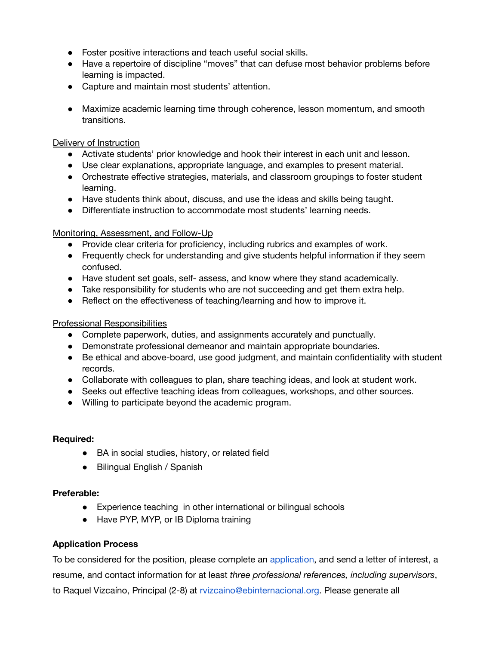- Foster positive interactions and teach useful social skills.
- Have a repertoire of discipline "moves" that can defuse most behavior problems before learning is impacted.
- Capture and maintain most students' attention.
- Maximize academic learning time through coherence, lesson momentum, and smooth transitions.

### Delivery of Instruction

- Activate students' prior knowledge and hook their interest in each unit and lesson.
- Use clear explanations, appropriate language, and examples to present material.
- Orchestrate effective strategies, materials, and classroom groupings to foster student learning.
- Have students think about, discuss, and use the ideas and skills being taught.
- Differentiate instruction to accommodate most students' learning needs.

### Monitoring, Assessment, and Follow-Up

- Provide clear criteria for proficiency, including rubrics and examples of work.
- Frequently check for understanding and give students helpful information if they seem confused.
- Have student set goals, self- assess, and know where they stand academically.
- Take responsibility for students who are not succeeding and get them extra help.
- Reflect on the effectiveness of teaching/learning and how to improve it.

### Professional Responsibilities

- Complete paperwork, duties, and assignments accurately and punctually.
- Demonstrate professional demeanor and maintain appropriate boundaries.
- Be ethical and above-board, use good judgment, and maintain confidentiality with student records.
- Collaborate with colleagues to plan, share teaching ideas, and look at student work.
- Seeks out effective teaching ideas from colleagues, workshops, and other sources.
- Willing to participate beyond the academic program.

# **Required:**

- BA in social studies, history, or related field
- **●** Bilingual English / Spanish

# **Preferable:**

- Experience teaching in other international or bilingual schools
- Have PYP, MYP, or IB Diploma training

# **Application Process**

To be considered for the position, please complete an [application,](https://www.ebinternacional.org/sites/default/files/EMPLOYMENT%20APPLICATION_11_25%20%281%29.pdf) and send a letter of interest, a resume, and contact information for at least *three professional references, including supervisors*, to Raquel Vizcaíno, Principal (2-8) at rvizcaino@ebinternacional.org. Please generate all